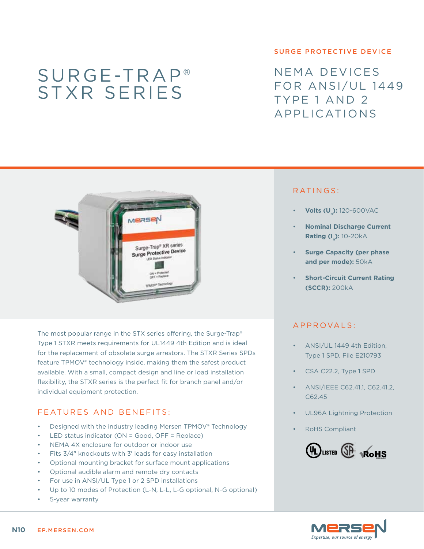# Surge-Trap® STXR series

#### surge protective device

NEMA devices FOR ANSI/UL 1449 Type 1 and 2 Applications



The most popular range in the STX series offering, the Surge-Trap® Type 1 STXR meets requirements for UL1449 4th Edition and is ideal for the replacement of obsolete surge arrestors. The STXR Series SPDs feature TPMOV® technology inside, making them the safest product available. With a small, compact design and line or load installation flexibility, the STXR series is the perfect fit for branch panel and/or individual equipment protection.

## FEATURES AND BENEFITS:

- Designed with the industry leading Mersen TPMOV® Technology
- LED status indicator (ON = Good, OFF = Replace)
- NEMA 4X enclosure for outdoor or indoor use
- Fits  $3/4$ " knockouts with  $3'$  leads for easy installation
- Optional mounting bracket for surface mount applications
- Optional audible alarm and remote dry contacts
- For use in ANSI/UL Type 1 or 2 SPD installations
- Up to 10 modes of Protection (L-N, L-L, L-G optional, N-G optional)
- 5-year warranty

### RATINGS:

- **Volts (U<sub>n</sub>):** 120-600VAC
- **Nominal Discharge Current Rating (I\_): 10-20kA**
- **Surge Capacity (per phase and per mode):** 50kA
- **Short-Circuit Current Rating (SCCR):** 200kA

#### a pproval s :

- ANSI/UL 1449 4th Edition, Type 1 SPD, File E210793
- CSA C22.2, Type 1 SPD
- ANSI/IEEE C62.41.1, C62.41.2, C62.45
- UL96A Lightning Protection
- RoHS Compliant